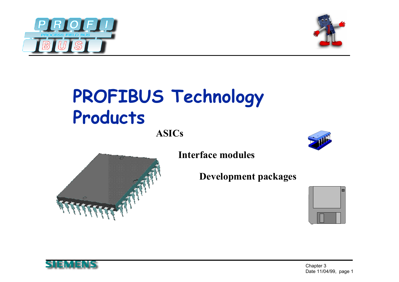



# **PROFIBUS Technology Products**

**ASICs**





**Interface modules**

**Development packages**



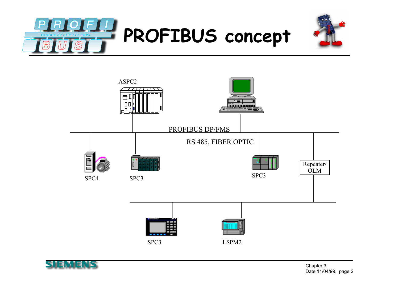





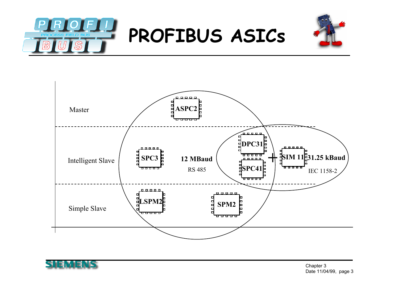





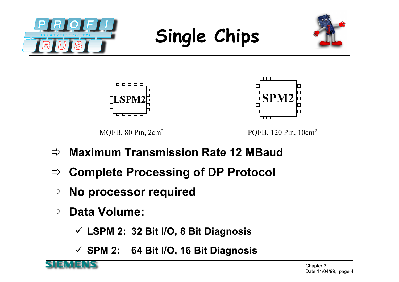







MQFB, 80 Pin, 2cm<sup>2</sup> PQFB, 120 Pin, 10cm<sup>2</sup>

0 0 0 0 0

00000

 $\Box$ 

- $\Rightarrow$ **Maximum Transmission Rate 12 MBaud**
- $\Rightarrow$ **Complete Processing of DP Protocol**
- $\Rightarrow$ **No processor required**
- $\Rightarrow$ **Data Volume:**

**LSPM 2: 32 Bit I/O, 8 Bit Diagnosis**

**SPM 2: 64 Bit I/O, 16 Bit Diagnosis**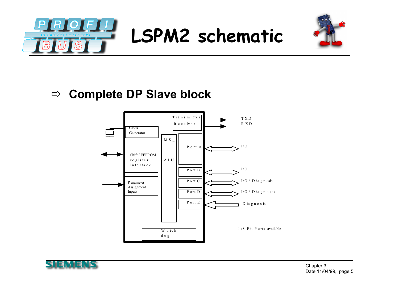



#### **Complete DP Slave block**



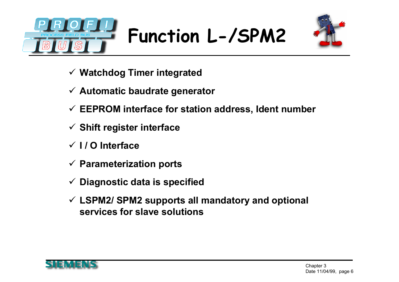



- **Watchdog Timer integrated**
- **Automatic baudrate generator**
- **EEPROM interface for station address, Ident number**
- **Shift register interface**
- **I / O Interface**
- **Parameterization ports**
- **Diagnostic data is specified**
- **LSPM2/ SPM2 supports all mandatory and optional services for slave solutions**

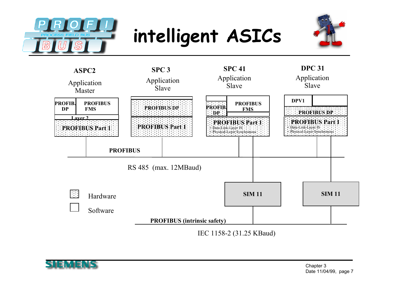

#### **intelligent ASICs**





IEC 1158-2 (31.25 KBaud)

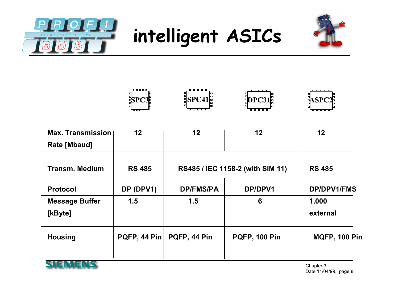







| <b>Max. Transmission</b> | 12            | 12               | 12                               | 12                   |
|--------------------------|---------------|------------------|----------------------------------|----------------------|
| Rate [Mbaud]             |               |                  |                                  |                      |
| <b>Transm. Medium</b>    | <b>RS 485</b> |                  | RS485 / IEC 1158-2 (with SIM 11) | <b>RS 485</b>        |
| <b>Protocol</b>          | DP (DPV1)     | <b>DP/FMS/PA</b> | DP/DPV1                          | <b>DP/DPV1/FMS</b>   |
| <b>Message Buffer</b>    | 1.5           | 1.5              | 6                                | 1,000                |
| [kByte]                  |               |                  |                                  | external             |
| <b>Housing</b>           | PQFP, 44 Pin  | PQFP, 44 Pin     | <b>PQFP, 100 Pin</b>             | <b>MQFP, 100 Pin</b> |
| . <i>. .</i>             |               |                  |                                  |                      |



Chapter 3 Date 11/04/99, page 8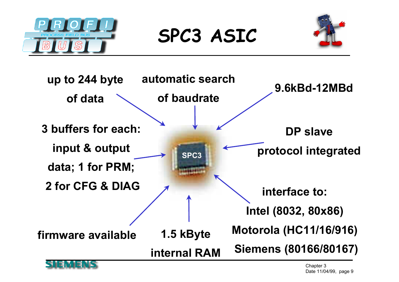

**SPC3 ASIC**





Chapter 3 Date 11/04/99, page 9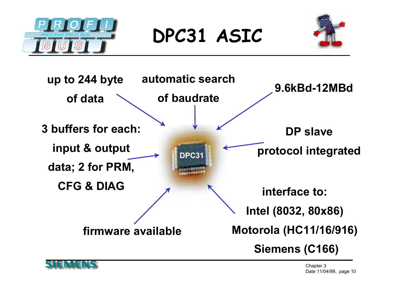

**DPC31 ASIC**





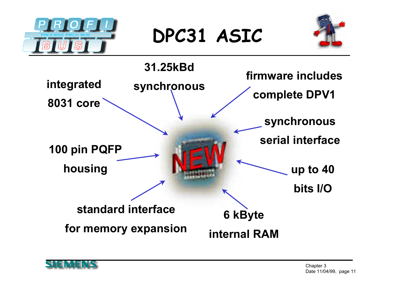

**DPC31 ASIC**





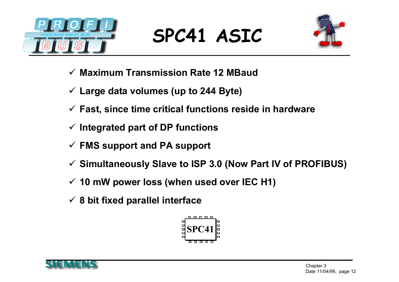

#### **SPC41 ASIC**



- **Maximum Transmission Rate 12 MBaud**
- **Large data volumes (up to 244 Byte)**
- **Fast, since time critical functions reside in hardware**
- **Integrated part of DP functions**
- **FMS support and PA support**
- **Simultaneously Slave to ISP 3.0 (Now Part IV of PROFIBUS)**
- **10 mW power loss (when used over IEC H1)**
- **8 bit fixed parallel interface**



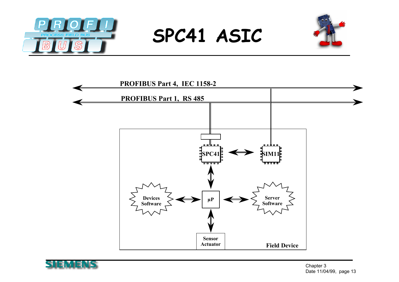







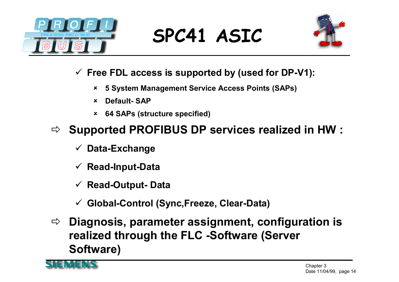

#### **SPC41 ASIC**



- **Free FDL access is supported by (used for DP-V1):**
	- × **5 System Management Service Access Points (SAPs)**
	- $\mathbf x$ **Default- SAP**
	- $\boldsymbol{\mathsf{x}}$ **64 SAPs (structure specified)**

#### $\Rightarrow$ **Supported PROFIBUS DP services realized in HW :**

- **Data-Exchange**
- **Read-Input-Data**
- **Read-Output- Data**
- $\checkmark$ **Global-Control (Sync,Freeze, Clear-Data)**
- $\Rightarrow$  **Diagnosis, parameter assignment, configuration is realized through the FLC -Software (Server Software)**

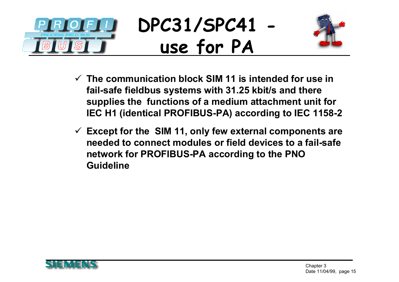



- **The communication block SIM 11 is intended for use in fail-safe fieldbus systems with 31.25 kbit/s and there supplies the functions of a medium attachment unit for IEC H1 (identical PROFIBUS-PA) according to IEC 1158-2**
- **Except for the SIM 11, only few external components are needed to connect modules or field devices to a fail-safe network for PROFIBUS-PA according to the PNO Guideline**

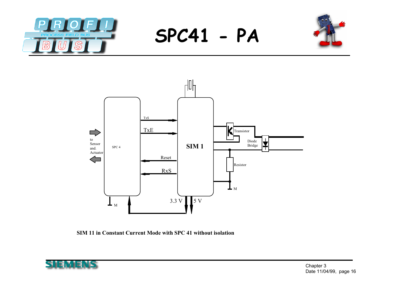

**SPC41 - PA**





**SIM 11 in Constant Current Mode with SPC 41 without isolation**

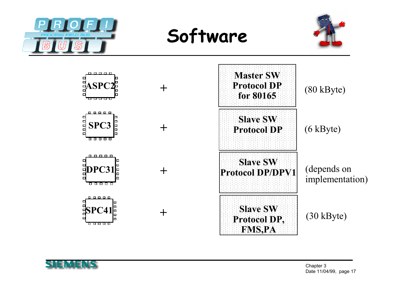

**Software**





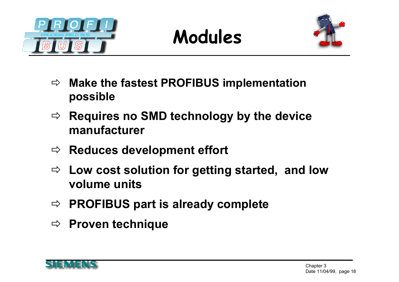





- $\Rightarrow$  **Make the fastest PROFIBUS implementation possible**
- $\Rightarrow$  **Requires no SMD technology by the device manufacturer**
- **Reduces development effort**
- **Low cost solution for getting started, and low volume units**
- **PROFIBUS part is already complete**
- **Proven technique**

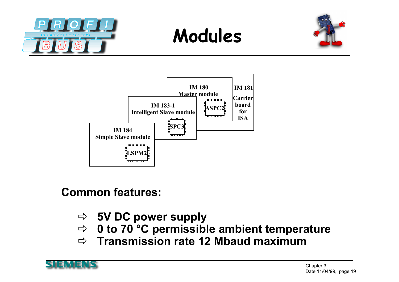







**Common features:**

- **5V DC power supply**
- **0 to 70 °C permissible ambient temperature**
- $\Rightarrow$ **Transmission rate 12 Mbaud maximum**

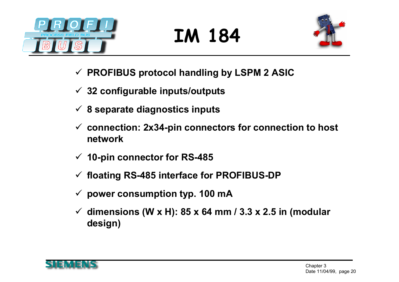

# **IM 184**



- **PROFIBUS protocol handling by LSPM 2 ASIC**
- **32 configurable inputs/outputs**
- **8 separate diagnostics inputs**
- **connection: 2x34-pin connectors for connection to host network**
- **10-pin connector for RS-485**
- **floating RS-485 interface for PROFIBUS-DP**
- **power consumption typ. 100 mA**
- **dimensions (W x H): 85 x 64 mm / 3.3 x 2.5 in (modular design)**

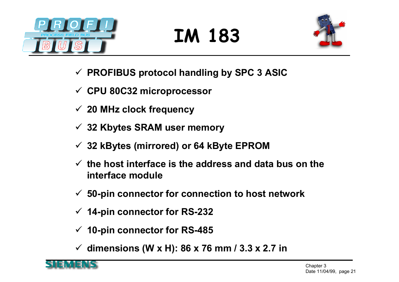

### **IM 183**



- **PROFIBUS protocol handling by SPC 3 ASIC**
- **CPU 80C32 microprocessor**
- **20 MHz clock frequency**
- **32 Kbytes SRAM user memory**
- **32 kBytes (mirrored) or 64 kByte EPROM**
- **the host interface is the address and data bus on the interface module**
- **50-pin connector for connection to host network**
- **14-pin connector for RS-232**
- **10-pin connector for RS-485**
- **dimensions (W x H): 86 x 76 mm / 3.3 x 2.7 in**

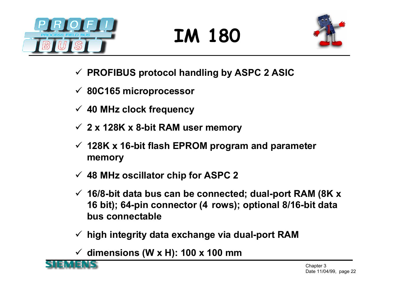

# **IM 180**



- **PROFIBUS protocol handling by ASPC 2 ASIC**
- **80C165 microprocessor**
- **40 MHz clock frequency**
- **2 x 128K x 8-bit RAM user memory**
- **128K x 16-bit flash EPROM program and parameter memory**
- **48 MHz oscillator chip for ASPC 2**
- **16/8-bit data bus can be connected; dual-port RAM (8K x 16 bit); 64-pin connector (4 rows); optional 8/16-bit data bus connectable**
- **high integrity data exchange via dual-port RAM**
- **dimensions (W x H): 100 x 100 mm**

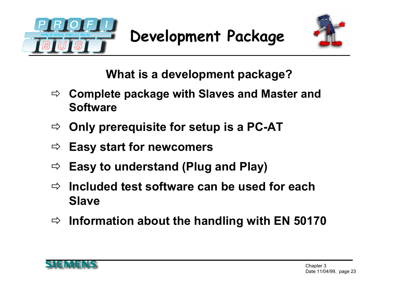





**What is a development package?**

- $\Rightarrow$  **Complete package with Slaves and Master and Software**
- $\Rightarrow$ **Only prerequisite for setup is a PC-AT**
- $\Rightarrow$ **Easy start for newcomers**
- $\Rightarrow$ **Easy to understand (Plug and Play)**
- $\Rightarrow$  **Included test software can be used for each Slave**
- $\Rightarrow$ **Information about the handling with EN 50170**

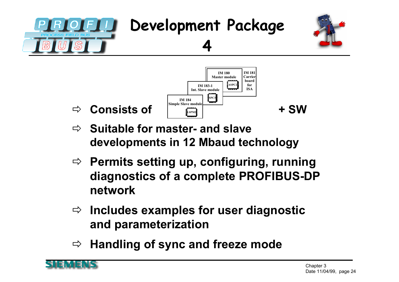



- **Suitable for master- and slave developments in 12 Mbaud technology**
- $\Rightarrow$  Permits setting up, configuring, running **diagnostics of a complete PROFIBUS-DP network**
- **Includes examples for user diagnostic and parameterization**
- $\Rightarrow$ **Handling of sync and freeze mode**



 $\Rightarrow$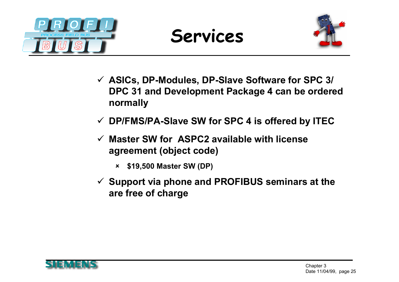





- **ASICs, DP-Modules, DP-Slave Software for SPC 3/ DPC 31 and Development Package 4 can be ordered normally**
- **DP/FMS/PA-Slave SW for SPC 4 is offered by ITEC**
- **Master SW for ASPC2 available with license agreement (object code)**
	- $\boldsymbol{\mathsf{x}}$ **\$19,500 Master SW (DP)**
- **Support via phone and PROFIBUS seminars at the are free of charge**

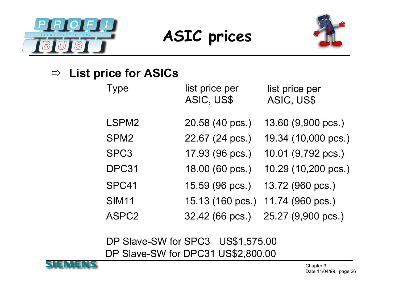

#### **ASIC prices**



#### $\Rightarrow$  List price for ASICs

| <b>Type</b>      | list price per<br>ASIC, US\$ | list price per<br>ASIC, US\$ |
|------------------|------------------------------|------------------------------|
| LSPM2            | 20.58 (40 pcs.)              | 13.60 (9,900 pcs.)           |
| SPM <sub>2</sub> | 22.67 (24 pcs.)              | 19.34 (10,000 pcs.)          |
| SPC3             | 17.93 (96 pcs.)              | 10.01 (9,792 pcs.)           |
| DPC31            | 18.00 (60 pcs.)              | 10.29 (10,200 pcs.)          |
| SPC41            | 15.59 (96 pcs.)              | 13.72 (960 pcs.)             |
| <b>SIM11</b>     | 15.13 (160 pcs.)             | 11.74 (960 pcs.)             |
| ASPC2            | 32.42 (66 pcs.)              | 25.27 (9,900 pcs.)           |

DP Slave-SW for SPC3 US\$1,575.00 DP Slave-SW for DPC31 US\$2,800.00